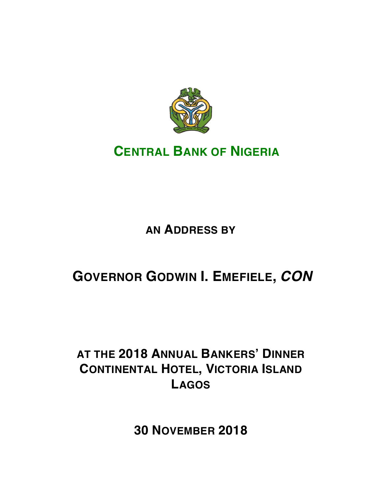

# **CENTRAL BANK OF NIGERIA**

# **AN ADDRESS BY**

# **GOVERNOR GODWIN I. EMEFIELE,** *CON*

# **AT THE 2018 ANNUAL BANKERS' DINNER CONTINENTAL HOTEL, VICTORIA ISLAND LAGOS**

**30 NOVEMBER 2018**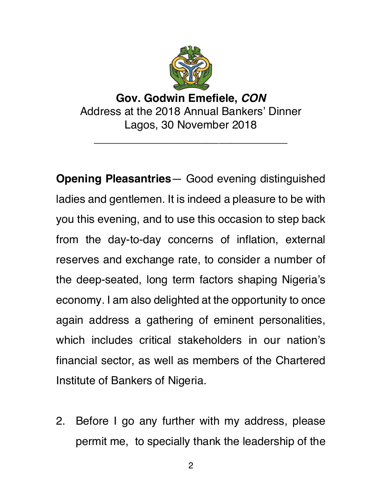

## **Gov. Godwin Emefiele,** *CON* Address at the 2018 Annual Bankers' Dinner Lagos, 30 November 2018

\_\_\_\_\_\_\_\_\_\_\_\_\_\_\_\_\_\_\_\_\_\_\_\_\_\_\_\_\_\_\_

**Opening Pleasantries**— Good evening distinguished ladies and gentlemen. It is indeed a pleasure to be with you this evening, and to use this occasion to step back from the day-to-day concerns of inflation, external reserves and exchange rate, to consider a number of the deep-seated, long term factors shaping Nigeria's economy. I am also delighted at the opportunity to once again address a gathering of eminent personalities, which includes critical stakeholders in our nation's financial sector, as well as members of the Chartered Institute of Bankers of Nigeria.

2. Before I go any further with my address, please permit me, to specially thank the leadership of the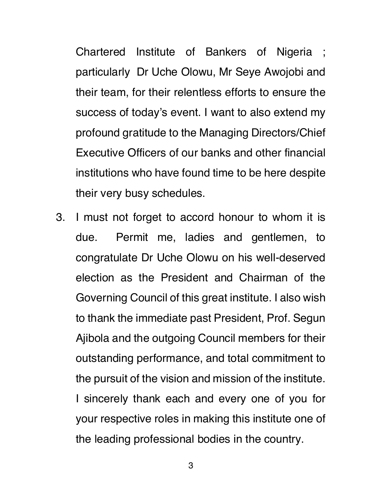Chartered Institute of Bankers of Nigeria ; particularly Dr Uche Olowu, Mr Seye Awojobi and their team, for their relentless efforts to ensure the success of today's event. I want to also extend my profound gratitude to the Managing Directors/Chief Executive Officers of our banks and other financial institutions who have found time to be here despite their very busy schedules.

3. I must not forget to accord honour to whom it is due. Permit me, ladies and gentlemen, to congratulate Dr Uche Olowu on his well-deserved election as the President and Chairman of the Governing Council of this great institute. I also wish to thank the immediate past President, Prof. Segun Ajibola and the outgoing Council members for their outstanding performance, and total commitment to the pursuit of the vision and mission of the institute. I sincerely thank each and every one of you for your respective roles in making this institute one of the leading professional bodies in the country.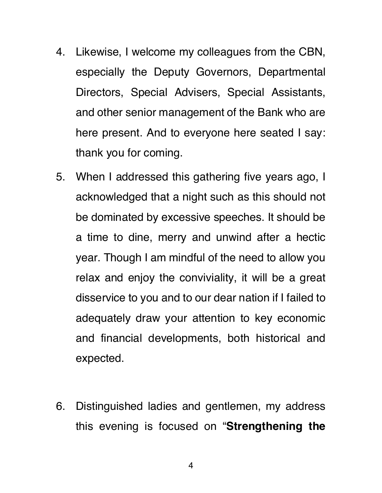- 4. Likewise, I welcome my colleagues from the CBN, especially the Deputy Governors, Departmental Directors, Special Advisers, Special Assistants, and other senior management of the Bank who are here present. And to everyone here seated I say: thank you for coming.
- 5. When I addressed this gathering five years ago, I acknowledged that a night such as this should not be dominated by excessive speeches. It should be a time to dine, merry and unwind after a hectic year. Though I am mindful of the need to allow you relax and enjoy the conviviality, it will be a great disservice to you and to our dear nation if I failed to adequately draw your attention to key economic and financial developments, both historical and expected.
- 6. Distinguished ladies and gentlemen, my address this evening is focused on "**Strengthening the**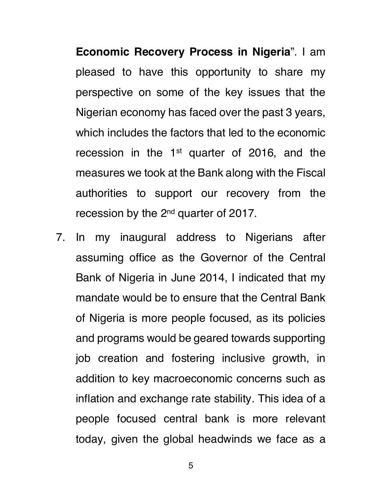**Economic Recovery Process in Nigeria**". I am pleased to have this opportunity to share my perspective on some of the key issues that the Nigerian economy has faced over the past 3 years, which includes the factors that led to the economic recession in the 1<sup>st</sup> quarter of 2016, and the measures we took at the Bank along with the Fiscal authorities to support our recovery from the recession by the 2nd quarter of 2017.

7. In my inaugural address to Nigerians after assuming office as the Governor of the Central Bank of Nigeria in June 2014, I indicated that my mandate would be to ensure that the Central Bank of Nigeria is more people focused, as its policies and programs would be geared towards supporting job creation and fostering inclusive growth, in addition to key macroeconomic concerns such as inflation and exchange rate stability. This idea of a people focused central bank is more relevant today, given the global headwinds we face as a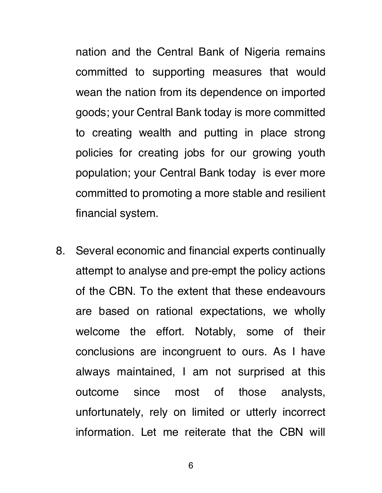nation and the Central Bank of Nigeria remains committed to supporting measures that would wean the nation from its dependence on imported goods; your Central Bank today is more committed to creating wealth and putting in place strong policies for creating jobs for our growing youth population; your Central Bank today is ever more committed to promoting a more stable and resilient financial system.

8. Several economic and financial experts continually attempt to analyse and pre-empt the policy actions of the CBN. To the extent that these endeavours are based on rational expectations, we wholly welcome the effort. Notably, some of their conclusions are incongruent to ours. As I have always maintained, I am not surprised at this outcome since most of those analysts, unfortunately, rely on limited or utterly incorrect information. Let me reiterate that the CBN will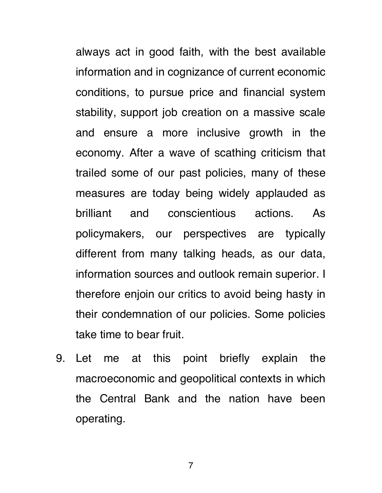always act in good faith, with the best available information and in cognizance of current economic conditions, to pursue price and financial system stability, support job creation on a massive scale and ensure a more inclusive growth in the economy. After a wave of scathing criticism that trailed some of our past policies, many of these measures are today being widely applauded as brilliant and conscientious actions. As policymakers, our perspectives are typically different from many talking heads, as our data, information sources and outlook remain superior. I therefore enjoin our critics to avoid being hasty in their condemnation of our policies. Some policies take time to bear fruit.

9. Let me at this point briefly explain the macroeconomic and geopolitical contexts in which the Central Bank and the nation have been operating.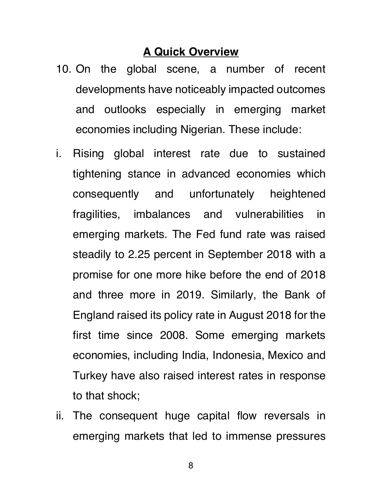#### **A Quick Overview**

- 10. On the global scene, a number of recent developments have noticeably impacted outcomes and outlooks especially in emerging market economies including Nigerian. These include:
- i. Rising global interest rate due to sustained tightening stance in advanced economies which consequently and unfortunately heightened fragilities, imbalances and vulnerabilities in emerging markets. The Fed fund rate was raised steadily to 2.25 percent in September 2018 with a promise for one more hike before the end of 2018 and three more in 2019. Similarly, the Bank of England raised its policy rate in August 2018 for the first time since 2008. Some emerging markets economies, including India, Indonesia, Mexico and Turkey have also raised interest rates in response to that shock;
- ii. The consequent huge capital flow reversals in emerging markets that led to immense pressures
	- 8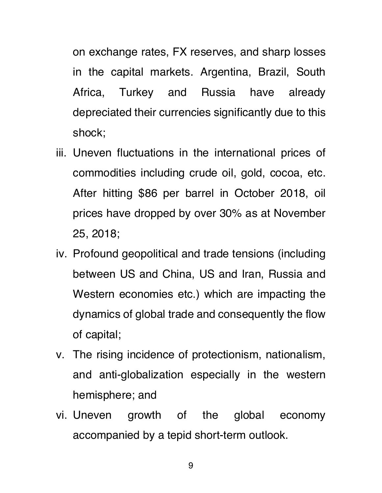on exchange rates, FX reserves, and sharp losses in the capital markets. Argentina, Brazil, South Africa, Turkey and Russia have already depreciated their currencies significantly due to this shock;

- iii. Uneven fluctuations in the international prices of commodities including crude oil, gold, cocoa, etc. After hitting \$86 per barrel in October 2018, oil prices have dropped by over 30% as at November 25, 2018;
- iv. Profound geopolitical and trade tensions (including between US and China, US and Iran, Russia and Western economies etc.) which are impacting the dynamics of global trade and consequently the flow of capital;
- v. The rising incidence of protectionism, nationalism, and anti-globalization especially in the western hemisphere; and
- vi. Uneven growth of the global economy accompanied by a tepid short-term outlook.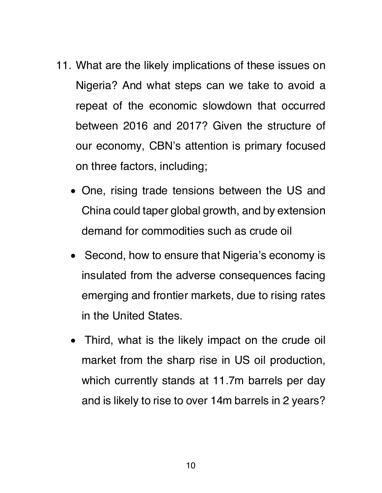- 11. What are the likely implications of these issues on Nigeria? And what steps can we take to avoid a repeat of the economic slowdown that occurred between 2016 and 2017? Given the structure of our economy, CBN's attention is primary focused on three factors, including;
	- One, rising trade tensions between the US and China could taper global growth, and by extension demand for commodities such as crude oil
	- Second, how to ensure that Nigeria's economy is insulated from the adverse consequences facing emerging and frontier markets, due to rising rates in the United States.
	- Third, what is the likely impact on the crude oil market from the sharp rise in US oil production, which currently stands at 11.7m barrels per day and is likely to rise to over 14m barrels in 2 years?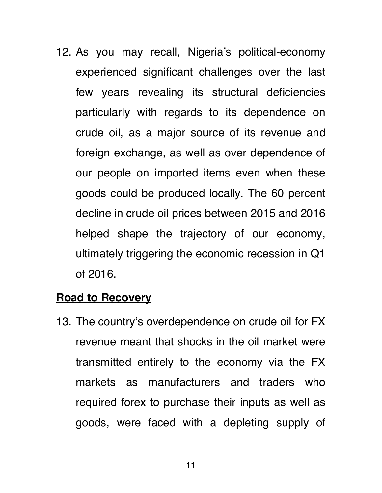12. As you may recall, Nigeria's political-economy experienced significant challenges over the last few years revealing its structural deficiencies particularly with regards to its dependence on crude oil, as a major source of its revenue and foreign exchange, as well as over dependence of our people on imported items even when these goods could be produced locally. The 60 percent decline in crude oil prices between 2015 and 2016 helped shape the trajectory of our economy, ultimately triggering the economic recession in Q1 of 2016.

#### **Road to Recovery**

13. The country's overdependence on crude oil for FX revenue meant that shocks in the oil market were transmitted entirely to the economy via the FX markets as manufacturers and traders who required forex to purchase their inputs as well as goods, were faced with a depleting supply of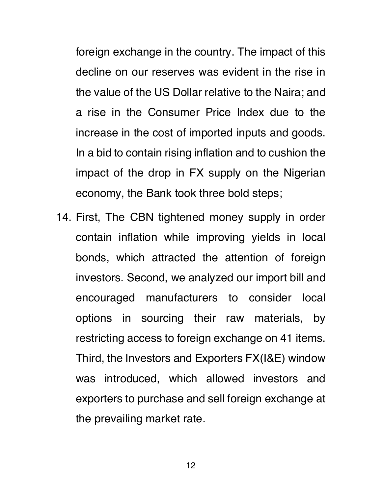foreign exchange in the country. The impact of this decline on our reserves was evident in the rise in the value of the US Dollar relative to the Naira; and a rise in the Consumer Price Index due to the increase in the cost of imported inputs and goods. In a bid to contain rising inflation and to cushion the impact of the drop in FX supply on the Nigerian economy, the Bank took three bold steps;

14. First, The CBN tightened money supply in order contain inflation while improving yields in local bonds, which attracted the attention of foreign investors. Second, we analyzed our import bill and encouraged manufacturers to consider local options in sourcing their raw materials, by restricting access to foreign exchange on 41 items. Third, the Investors and Exporters FX(I&E) window was introduced, which allowed investors and exporters to purchase and sell foreign exchange at the prevailing market rate.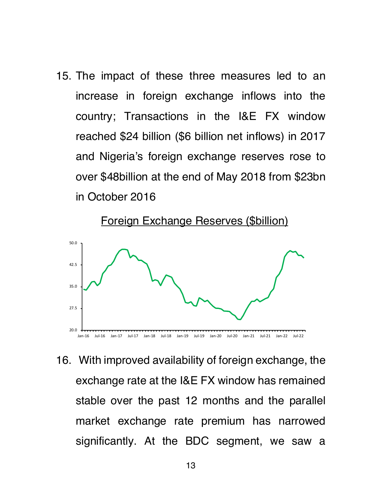15. The impact of these three measures led to an increase in foreign exchange inflows into the country; Transactions in the I&E FX window reached \$24 billion (\$6 billion net inflows) in 2017 and Nigeria's foreign exchange reserves rose to over \$48billion at the end of May 2018 from \$23bn in October 2016



16. With improved availability of foreign exchange, the exchange rate at the I&E FX window has remained stable over the past 12 months and the parallel market exchange rate premium has narrowed significantly. At the BDC segment, we saw a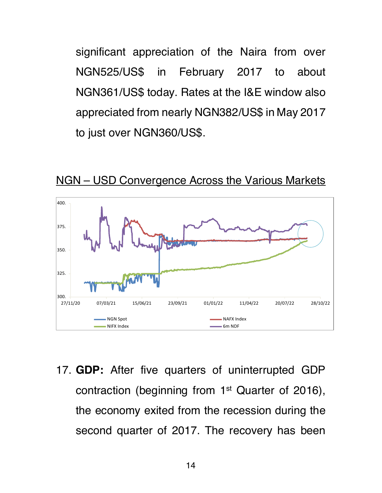significant appreciation of the Naira from over NGN525/US\$ in February 2017 to about NGN361/US\$ today. Rates at the I&E window also appreciated from nearly NGN382/US\$ in May 2017 to just over NGN360/US\$.



NGN – USD Convergence Across the Various Markets

17. **GDP:** After five quarters of uninterrupted GDP contraction (beginning from 1st Quarter of 2016), the economy exited from the recession during the second quarter of 2017. The recovery has been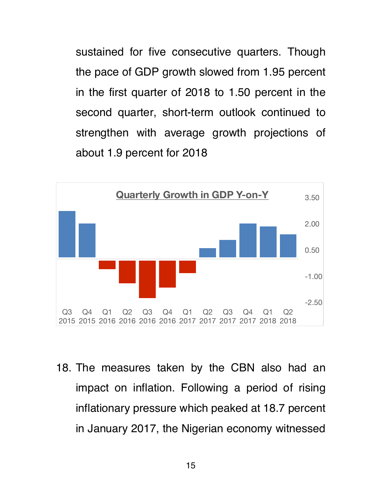sustained for five consecutive quarters. Though the pace of GDP growth slowed from 1.95 percent in the first quarter of 2018 to 1.50 percent in the second quarter, short-term outlook continued to strengthen with average growth projections of about 1.9 percent for 2018



18. The measures taken by the CBN also had an impact on inflation. Following a period of rising inflationary pressure which peaked at 18.7 percent in January 2017, the Nigerian economy witnessed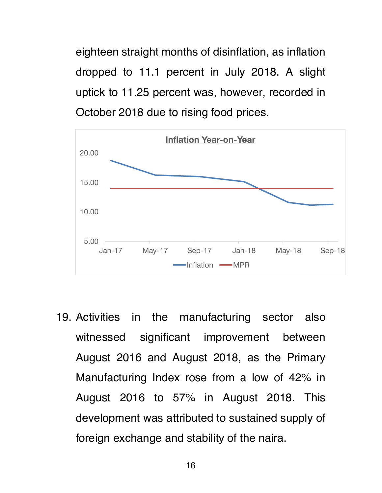eighteen straight months of disinflation, as inflation dropped to 11.1 percent in July 2018. A slight uptick to 11.25 percent was, however, recorded in October 2018 due to rising food prices.



19. Activities in the manufacturing sector also witnessed significant improvement between August 2016 and August 2018, as the Primary Manufacturing Index rose from a low of 42% in August 2016 to 57% in August 2018. This development was attributed to sustained supply of foreign exchange and stability of the naira.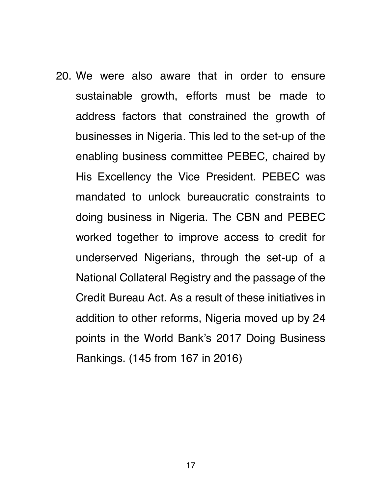20. We were also aware that in order to ensure sustainable growth, efforts must be made to address factors that constrained the growth of businesses in Nigeria. This led to the set-up of the enabling business committee PEBEC, chaired by His Excellency the Vice President. PEBEC was mandated to unlock bureaucratic constraints to doing business in Nigeria. The CBN and PEBEC worked together to improve access to credit for underserved Nigerians, through the set-up of a National Collateral Registry and the passage of the Credit Bureau Act. As a result of these initiatives in addition to other reforms, Nigeria moved up by 24 points in the World Bank's 2017 Doing Business Rankings. (145 from 167 in 2016)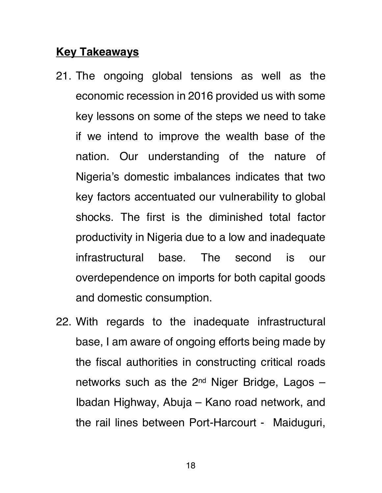### **Key Takeaways**

- 21. The ongoing global tensions as well as the economic recession in 2016 provided us with some key lessons on some of the steps we need to take if we intend to improve the wealth base of the nation. Our understanding of the nature of Nigeria's domestic imbalances indicates that two key factors accentuated our vulnerability to global shocks. The first is the diminished total factor productivity in Nigeria due to a low and inadequate infrastructural base. The second is our overdependence on imports for both capital goods and domestic consumption.
- 22. With regards to the inadequate infrastructural base, I am aware of ongoing efforts being made by the fiscal authorities in constructing critical roads networks such as the  $2^{nd}$  Niger Bridge, Lagos  $-$ Ibadan Highway, Abuja – Kano road network, and the rail lines between Port-Harcourt - Maiduguri,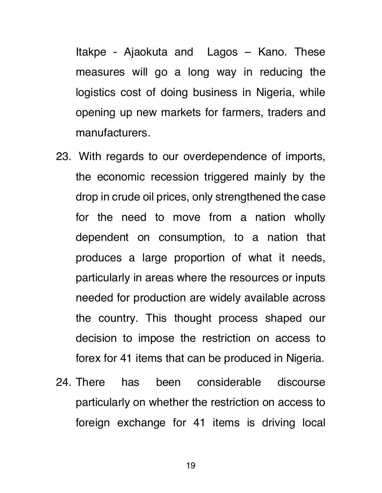Itakpe - Ajaokuta and Lagos – Kano. These measures will go a long way in reducing the logistics cost of doing business in Nigeria, while opening up new markets for farmers, traders and manufacturers.

- 23. With regards to our overdependence of imports, the economic recession triggered mainly by the drop in crude oil prices, only strengthened the case for the need to move from a nation wholly dependent on consumption, to a nation that produces a large proportion of what it needs, particularly in areas where the resources or inputs needed for production are widely available across the country. This thought process shaped our decision to impose the restriction on access to forex for 41 items that can be produced in Nigeria.
- 24. There has been considerable discourse particularly on whether the restriction on access to foreign exchange for 41 items is driving local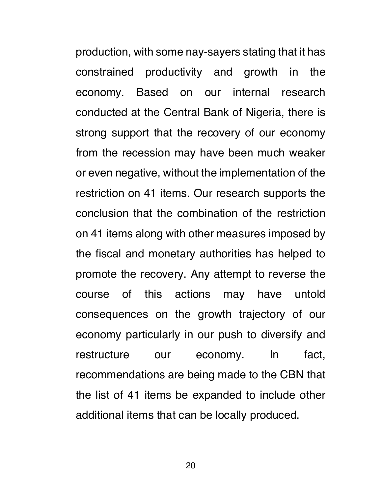production, with some nay-sayers stating that it has constrained productivity and growth in the economy. Based on our internal research conducted at the Central Bank of Nigeria, there is strong support that the recovery of our economy from the recession may have been much weaker or even negative, without the implementation of the restriction on 41 items. Our research supports the conclusion that the combination of the restriction on 41 items along with other measures imposed by the fiscal and monetary authorities has helped to promote the recovery. Any attempt to reverse the course of this actions may have untold consequences on the growth trajectory of our economy particularly in our push to diversify and restructure our economy. In fact, recommendations are being made to the CBN that the list of 41 items be expanded to include other additional items that can be locally produced.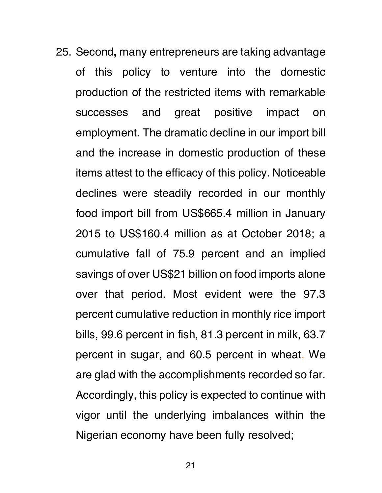25. Second**,** many entrepreneurs are taking advantage of this policy to venture into the domestic production of the restricted items with remarkable successes and great positive impact on employment. The dramatic decline in our import bill and the increase in domestic production of these items attest to the efficacy of this policy. Noticeable declines were steadily recorded in our monthly food import bill from US\$665.4 million in January 2015 to US\$160.4 million as at October 2018; a cumulative fall of 75.9 percent and an implied savings of over US\$21 billion on food imports alone over that period. Most evident were the 97.3 percent cumulative reduction in monthly rice import bills, 99.6 percent in fish, 81.3 percent in milk, 63.7 percent in sugar, and 60.5 percent in wheat. We are glad with the accomplishments recorded so far. Accordingly, this policy is expected to continue with vigor until the underlying imbalances within the Nigerian economy have been fully resolved;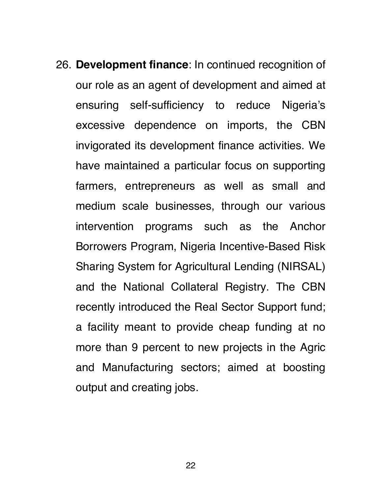26. **Development finance**: In continued recognition of our role as an agent of development and aimed at ensuring self-sufficiency to reduce Nigeria's excessive dependence on imports, the CBN invigorated its development finance activities. We have maintained a particular focus on supporting farmers, entrepreneurs as well as small and medium scale businesses, through our various intervention programs such as the Anchor Borrowers Program, Nigeria Incentive-Based Risk Sharing System for Agricultural Lending (NIRSAL) and the National Collateral Registry. The CBN recently introduced the Real Sector Support fund; a facility meant to provide cheap funding at no more than 9 percent to new projects in the Agric and Manufacturing sectors; aimed at boosting output and creating jobs.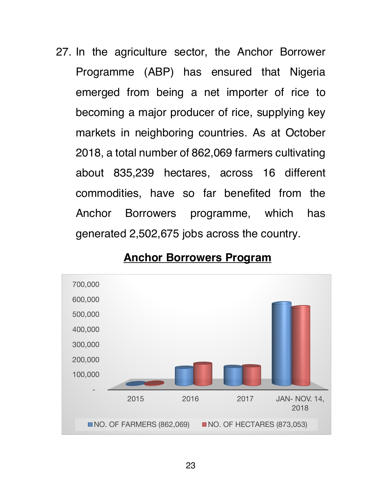27. In the agriculture sector, the Anchor Borrower Programme (ABP) has ensured that Nigeria emerged from being a net importer of rice to becoming a major producer of rice, supplying key markets in neighboring countries. As at October 2018, a total number of 862,069 farmers cultivating about 835,239 hectares, across 16 different commodities, have so far benefited from the Anchor Borrowers programme, which has generated 2,502,675 jobs across the country.



#### **Anchor Borrowers Program**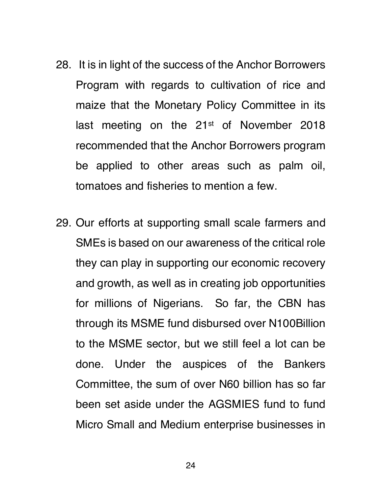- 28. It is in light of the success of the Anchor Borrowers Program with regards to cultivation of rice and maize that the Monetary Policy Committee in its last meeting on the 21<sup>st</sup> of November 2018 recommended that the Anchor Borrowers program be applied to other areas such as palm oil, tomatoes and fisheries to mention a few.
- 29. Our efforts at supporting small scale farmers and SMEs is based on our awareness of the critical role they can play in supporting our economic recovery and growth, as well as in creating job opportunities for millions of Nigerians. So far, the CBN has through its MSME fund disbursed over N100Billion to the MSME sector, but we still feel a lot can be done. Under the auspices of the Bankers Committee, the sum of over N60 billion has so far been set aside under the AGSMIES fund to fund Micro Small and Medium enterprise businesses in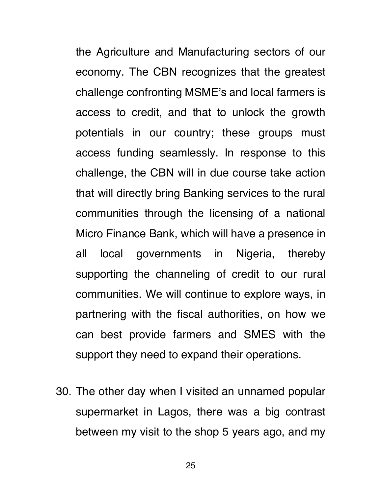the Agriculture and Manufacturing sectors of our economy. The CBN recognizes that the greatest challenge confronting MSME's and local farmers is access to credit, and that to unlock the growth potentials in our country; these groups must access funding seamlessly. In response to this challenge, the CBN will in due course take action that will directly bring Banking services to the rural communities through the licensing of a national Micro Finance Bank, which will have a presence in all local governments in Nigeria, thereby supporting the channeling of credit to our rural communities. We will continue to explore ways, in partnering with the fiscal authorities, on how we can best provide farmers and SMES with the support they need to expand their operations.

30. The other day when I visited an unnamed popular supermarket in Lagos, there was a big contrast between my visit to the shop 5 years ago, and my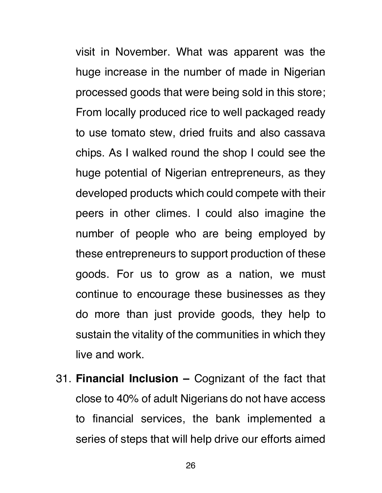visit in November. What was apparent was the huge increase in the number of made in Nigerian processed goods that were being sold in this store; From locally produced rice to well packaged ready to use tomato stew, dried fruits and also cassava chips. As I walked round the shop I could see the huge potential of Nigerian entrepreneurs, as they developed products which could compete with their peers in other climes. I could also imagine the number of people who are being employed by these entrepreneurs to support production of these goods. For us to grow as a nation, we must continue to encourage these businesses as they do more than just provide goods, they help to sustain the vitality of the communities in which they live and work.

31. **Financial Inclusion –** Cognizant of the fact that close to 40% of adult Nigerians do not have access to financial services, the bank implemented a series of steps that will help drive our efforts aimed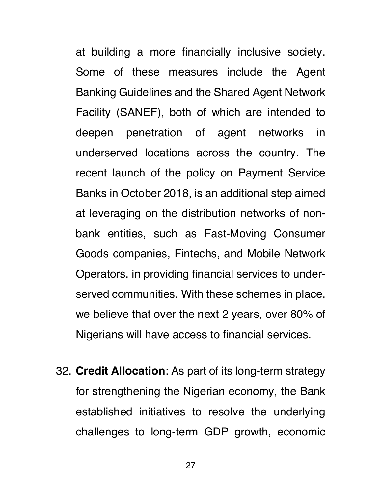at building a more financially inclusive society. Some of these measures include the Agent Banking Guidelines and the Shared Agent Network Facility (SANEF), both of which are intended to deepen penetration of agent networks in underserved locations across the country. The recent launch of the policy on Payment Service Banks in October 2018, is an additional step aimed at leveraging on the distribution networks of nonbank entities, such as Fast-Moving Consumer Goods companies, Fintechs, and Mobile Network Operators, in providing financial services to underserved communities. With these schemes in place, we believe that over the next 2 years, over 80% of Nigerians will have access to financial services.

32. **Credit Allocation**: As part of its long-term strategy for strengthening the Nigerian economy, the Bank established initiatives to resolve the underlying challenges to long-term GDP growth, economic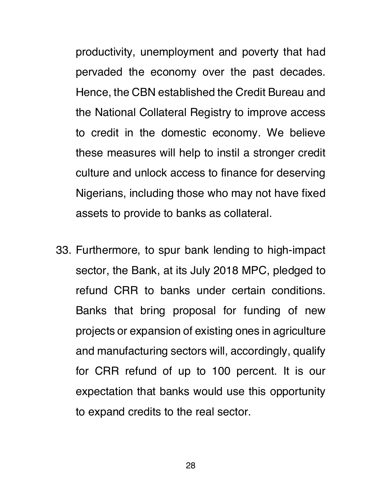productivity, unemployment and poverty that had pervaded the economy over the past decades. Hence, the CBN established the Credit Bureau and the National Collateral Registry to improve access to credit in the domestic economy. We believe these measures will help to instil a stronger credit culture and unlock access to finance for deserving Nigerians, including those who may not have fixed assets to provide to banks as collateral.

33. Furthermore, to spur bank lending to high-impact sector, the Bank, at its July 2018 MPC, pledged to refund CRR to banks under certain conditions. Banks that bring proposal for funding of new projects or expansion of existing ones in agriculture and manufacturing sectors will, accordingly, qualify for CRR refund of up to 100 percent. It is our expectation that banks would use this opportunity to expand credits to the real sector.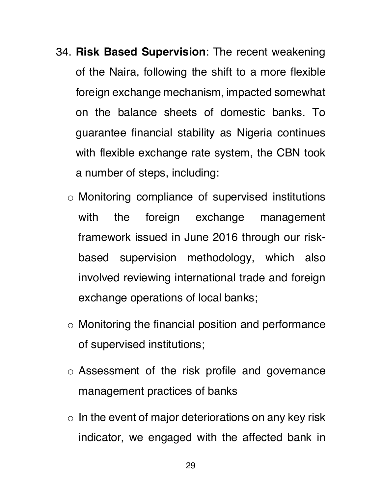- 34. **Risk Based Supervision**: The recent weakening of the Naira, following the shift to a more flexible foreign exchange mechanism, impacted somewhat on the balance sheets of domestic banks. To guarantee financial stability as Nigeria continues with flexible exchange rate system, the CBN took a number of steps, including:
	- o Monitoring compliance of supervised institutions with the foreign exchange management framework issued in June 2016 through our riskbased supervision methodology, which also involved reviewing international trade and foreign exchange operations of local banks;
	- o Monitoring the financial position and performance of supervised institutions;
	- o Assessment of the risk profile and governance management practices of banks
	- $\circ$  In the event of major deteriorations on any key risk indicator, we engaged with the affected bank in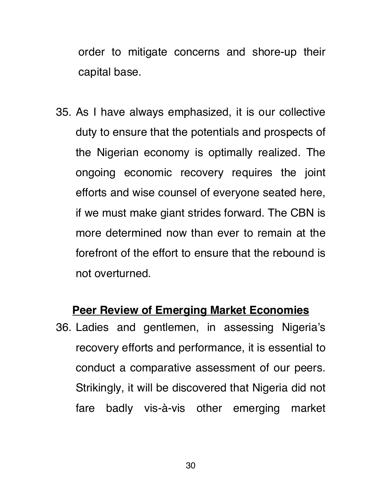order to mitigate concerns and shore-up their capital base.

35. As I have always emphasized, it is our collective duty to ensure that the potentials and prospects of the Nigerian economy is optimally realized. The ongoing economic recovery requires the joint efforts and wise counsel of everyone seated here, if we must make giant strides forward. The CBN is more determined now than ever to remain at the forefront of the effort to ensure that the rebound is not overturned.

#### **Peer Review of Emerging Market Economies**

36. Ladies and gentlemen, in assessing Nigeria's recovery efforts and performance, it is essential to conduct a comparative assessment of our peers. Strikingly, it will be discovered that Nigeria did not fare badly vis-à-vis other emerging market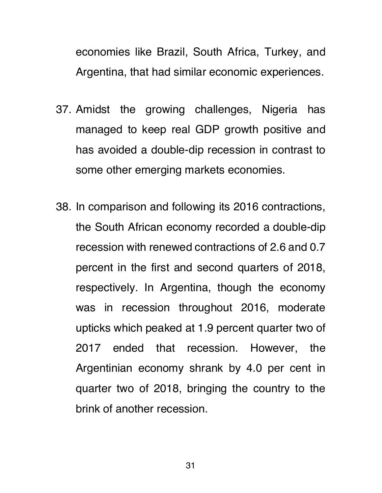economies like Brazil, South Africa, Turkey, and Argentina, that had similar economic experiences.

- 37. Amidst the growing challenges, Nigeria has managed to keep real GDP growth positive and has avoided a double-dip recession in contrast to some other emerging markets economies.
- 38. In comparison and following its 2016 contractions, the South African economy recorded a double-dip recession with renewed contractions of 2.6 and 0.7 percent in the first and second quarters of 2018, respectively. In Argentina, though the economy was in recession throughout 2016, moderate upticks which peaked at 1.9 percent quarter two of 2017 ended that recession. However, the Argentinian economy shrank by 4.0 per cent in quarter two of 2018, bringing the country to the brink of another recession.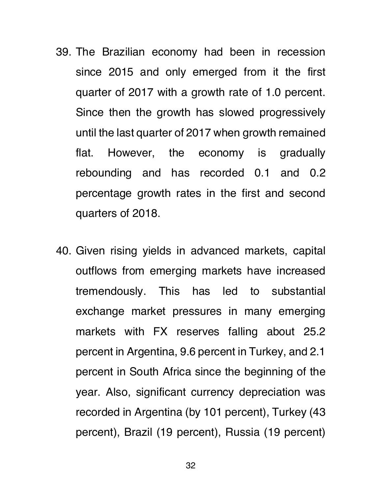- 39. The Brazilian economy had been in recession since 2015 and only emerged from it the first quarter of 2017 with a growth rate of 1.0 percent. Since then the growth has slowed progressively until the last quarter of 2017 when growth remained flat. However, the economy is gradually rebounding and has recorded 0.1 and 0.2 percentage growth rates in the first and second quarters of 2018.
- 40. Given rising yields in advanced markets, capital outflows from emerging markets have increased tremendously. This has led to substantial exchange market pressures in many emerging markets with FX reserves falling about 25.2 percent in Argentina, 9.6 percent in Turkey, and 2.1 percent in South Africa since the beginning of the year. Also, significant currency depreciation was recorded in Argentina (by 101 percent), Turkey (43 percent), Brazil (19 percent), Russia (19 percent)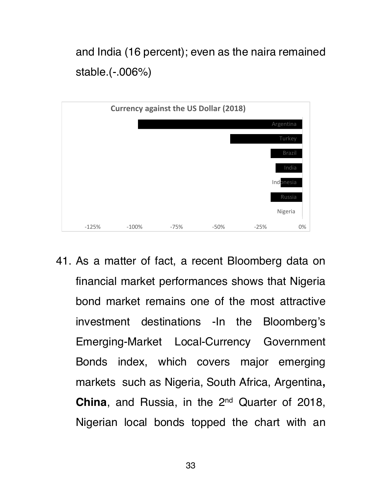and India (16 percent); even as the naira remained stable.(-.006%)



41. As a matter of fact, a recent Bloomberg data on financial market performances shows that Nigeria bond market remains one of the most attractive investment destinations -In the Bloomberg's Emerging-Market Local-Currency Government Bonds index, which covers major emerging markets such as Nigeria, South Africa, Argentina**, China**, and Russia, in the 2<sup>nd</sup> Quarter of 2018, Nigerian local bonds topped the chart with an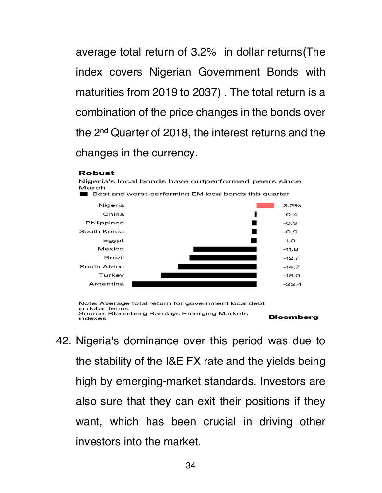average total return of 3.2% in dollar returns(The index covers Nigerian Government Bonds with maturities from 2019 to 2037) . The total return is a combination of the price changes in the bonds over the 2nd Quarter of 2018, the interest returns and the changes in the currency.

#### **Robust**



Note: Average total return for government local debt in dollar terms Source: Bloomberg Barclays Emerging Markets **Bloomberg** indexes

42. Nigeria's dominance over this period was due to the stability of the I&E FX rate and the yields being high by emerging-market standards. Investors are also sure that they can exit their positions if they want, which has been crucial in driving other investors into the market.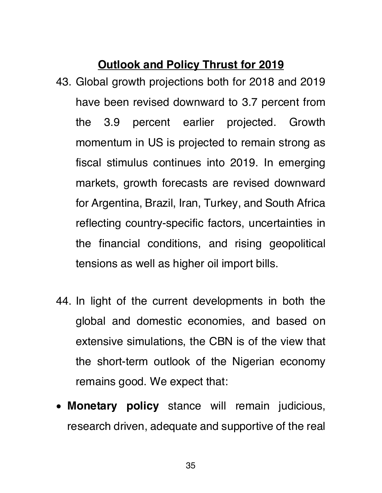### **Outlook and Policy Thrust for 2019**

- 43. Global growth projections both for 2018 and 2019 have been revised downward to 3.7 percent from the 3.9 percent earlier projected. Growth momentum in US is projected to remain strong as fiscal stimulus continues into 2019. In emerging markets, growth forecasts are revised downward for Argentina, Brazil, Iran, Turkey, and South Africa reflecting country-specific factors, uncertainties in the financial conditions, and rising geopolitical tensions as well as higher oil import bills.
- 44. In light of the current developments in both the global and domestic economies, and based on extensive simulations, the CBN is of the view that the short-term outlook of the Nigerian economy remains good. We expect that:
- **Monetary policy** stance will remain judicious, research driven, adequate and supportive of the real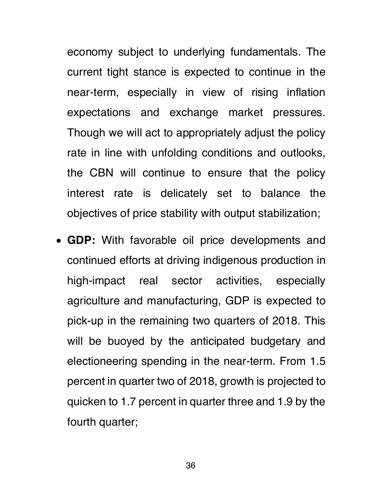economy subject to underlying fundamentals. The current tight stance is expected to continue in the near-term, especially in view of rising inflation expectations and exchange market pressures. Though we will act to appropriately adjust the policy rate in line with unfolding conditions and outlooks, the CBN will continue to ensure that the policy interest rate is delicately set to balance the objectives of price stability with output stabilization;

• **GDP:** With favorable oil price developments and continued efforts at driving indigenous production in high-impact real sector activities, especially agriculture and manufacturing, GDP is expected to pick-up in the remaining two quarters of 2018. This will be buoyed by the anticipated budgetary and electioneering spending in the near-term. From 1.5 percent in quarter two of 2018, growth is projected to quicken to 1.7 percent in quarter three and 1.9 by the fourth quarter;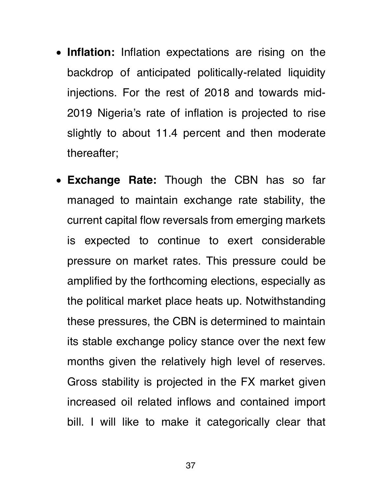- **Inflation:** Inflation expectations are rising on the backdrop of anticipated politically-related liquidity injections. For the rest of 2018 and towards mid-2019 Nigeria's rate of inflation is projected to rise slightly to about 11.4 percent and then moderate thereafter;
- **Exchange Rate:** Though the CBN has so far managed to maintain exchange rate stability, the current capital flow reversals from emerging markets is expected to continue to exert considerable pressure on market rates. This pressure could be amplified by the forthcoming elections, especially as the political market place heats up. Notwithstanding these pressures, the CBN is determined to maintain its stable exchange policy stance over the next few months given the relatively high level of reserves. Gross stability is projected in the FX market given increased oil related inflows and contained import bill. I will like to make it categorically clear that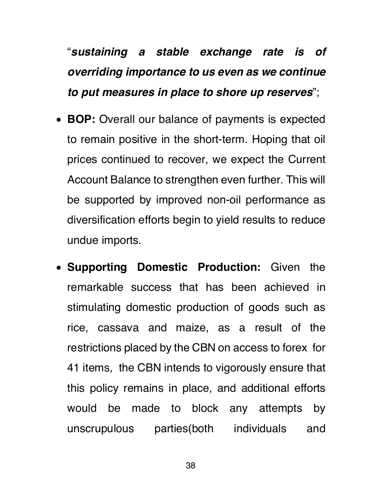# "*sustaining a stable exchange rate is of overriding importance to us even as we continue to put measures in place to shore up reserves*";

- **BOP:** Overall our balance of payments is expected to remain positive in the short-term. Hoping that oil prices continued to recover, we expect the Current Account Balance to strengthen even further. This will be supported by improved non-oil performance as diversification efforts begin to yield results to reduce undue imports.
- **Supporting Domestic Production:** Given the remarkable success that has been achieved in stimulating domestic production of goods such as rice, cassava and maize, as a result of the restrictions placed by the CBN on access to forex for 41 items, the CBN intends to vigorously ensure that this policy remains in place, and additional efforts would be made to block any attempts by unscrupulous parties(both individuals and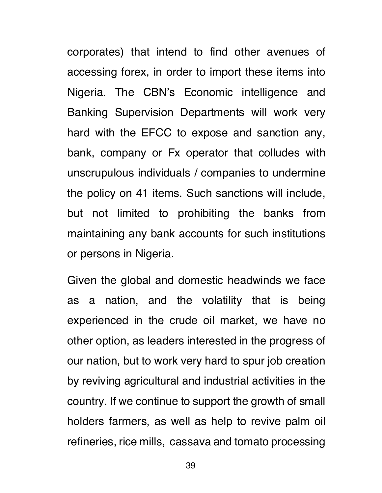corporates) that intend to find other avenues of accessing forex, in order to import these items into Nigeria. The CBN's Economic intelligence and Banking Supervision Departments will work very hard with the EFCC to expose and sanction any, bank, company or Fx operator that colludes with unscrupulous individuals / companies to undermine the policy on 41 items. Such sanctions will include, but not limited to prohibiting the banks from maintaining any bank accounts for such institutions or persons in Nigeria.

Given the global and domestic headwinds we face as a nation, and the volatility that is being experienced in the crude oil market, we have no other option, as leaders interested in the progress of our nation, but to work very hard to spur job creation by reviving agricultural and industrial activities in the country. If we continue to support the growth of small holders farmers, as well as help to revive palm oil refineries, rice mills, cassava and tomato processing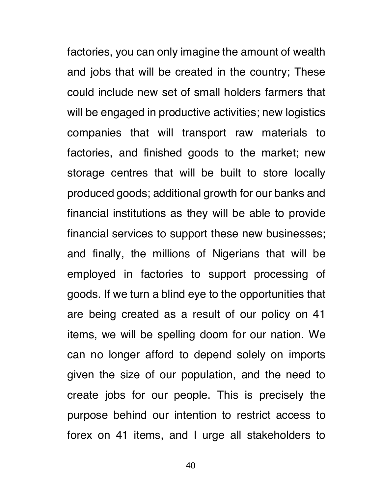factories, you can only imagine the amount of wealth and jobs that will be created in the country; These could include new set of small holders farmers that will be engaged in productive activities; new logistics companies that will transport raw materials to factories, and finished goods to the market; new storage centres that will be built to store locally produced goods; additional growth for our banks and financial institutions as they will be able to provide financial services to support these new businesses; and finally, the millions of Nigerians that will be employed in factories to support processing of goods. If we turn a blind eye to the opportunities that are being created as a result of our policy on 41 items, we will be spelling doom for our nation. We can no longer afford to depend solely on imports given the size of our population, and the need to create jobs for our people. This is precisely the purpose behind our intention to restrict access to forex on 41 items, and I urge all stakeholders to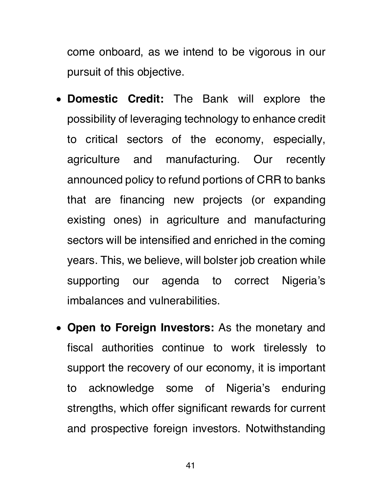come onboard, as we intend to be vigorous in our pursuit of this objective.

- **Domestic Credit:** The Bank will explore the possibility of leveraging technology to enhance credit to critical sectors of the economy, especially, agriculture and manufacturing. Our recently announced policy to refund portions of CRR to banks that are financing new projects (or expanding existing ones) in agriculture and manufacturing sectors will be intensified and enriched in the coming years. This, we believe, will bolster job creation while supporting our agenda to correct Nigeria's imbalances and vulnerabilities.
- **Open to Foreign Investors:** As the monetary and fiscal authorities continue to work tirelessly to support the recovery of our economy, it is important to acknowledge some of Nigeria's enduring strengths, which offer significant rewards for current and prospective foreign investors. Notwithstanding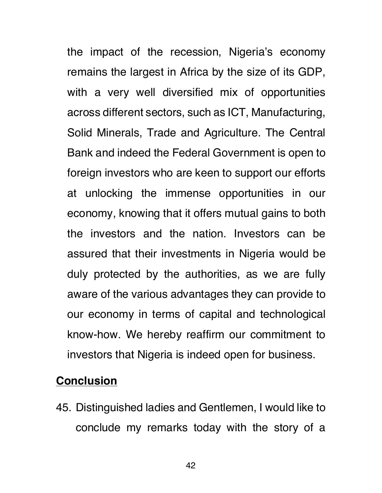the impact of the recession, Nigeria's economy remains the largest in Africa by the size of its GDP, with a very well diversified mix of opportunities across different sectors, such as ICT, Manufacturing, Solid Minerals, Trade and Agriculture. The Central Bank and indeed the Federal Government is open to foreign investors who are keen to support our efforts at unlocking the immense opportunities in our economy, knowing that it offers mutual gains to both the investors and the nation. Investors can be assured that their investments in Nigeria would be duly protected by the authorities, as we are fully aware of the various advantages they can provide to our economy in terms of capital and technological know-how. We hereby reaffirm our commitment to investors that Nigeria is indeed open for business.

#### **Conclusion**

45. Distinguished ladies and Gentlemen, I would like to conclude my remarks today with the story of a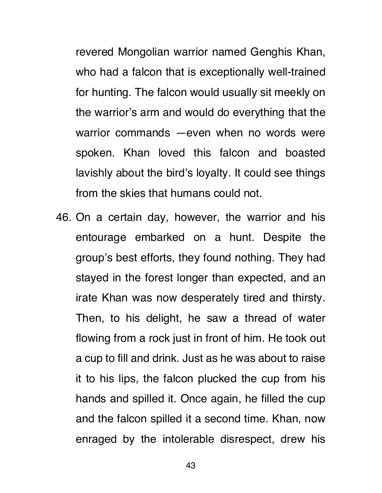revered Mongolian warrior named Genghis Khan, who had a falcon that is exceptionally well-trained for hunting. The falcon would usually sit meekly on the warrior's arm and would do everything that the warrior commands —even when no words were spoken. Khan loved this falcon and boasted lavishly about the bird's loyalty. It could see things from the skies that humans could not.

46. On a certain day, however, the warrior and his entourage embarked on a hunt. Despite the group's best efforts, they found nothing. They had stayed in the forest longer than expected, and an irate Khan was now desperately tired and thirsty. Then, to his delight, he saw a thread of water flowing from a rock just in front of him. He took out a cup to fill and drink. Just as he was about to raise it to his lips, the falcon plucked the cup from his hands and spilled it. Once again, he filled the cup and the falcon spilled it a second time. Khan, now enraged by the intolerable disrespect, drew his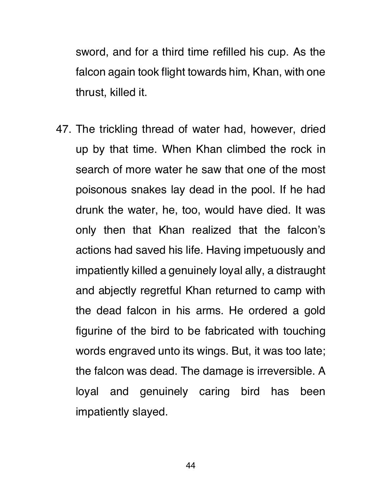sword, and for a third time refilled his cup. As the falcon again took flight towards him, Khan, with one thrust, killed it.

47. The trickling thread of water had, however, dried up by that time. When Khan climbed the rock in search of more water he saw that one of the most poisonous snakes lay dead in the pool. If he had drunk the water, he, too, would have died. It was only then that Khan realized that the falcon's actions had saved his life. Having impetuously and impatiently killed a genuinely loyal ally, a distraught and abjectly regretful Khan returned to camp with the dead falcon in his arms. He ordered a gold figurine of the bird to be fabricated with touching words engraved unto its wings. But, it was too late; the falcon was dead. The damage is irreversible. A loyal and genuinely caring bird has been impatiently slayed.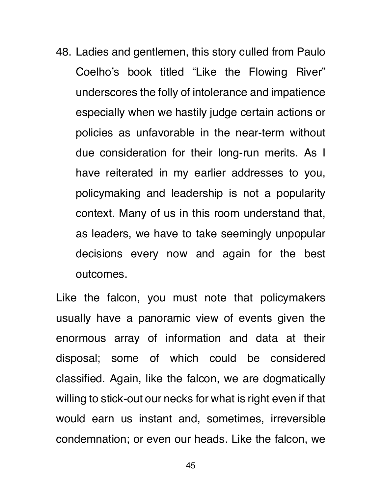48. Ladies and gentlemen, this story culled from Paulo Coelho's book titled "Like the Flowing River" underscores the folly of intolerance and impatience especially when we hastily judge certain actions or policies as unfavorable in the near-term without due consideration for their long-run merits. As I have reiterated in my earlier addresses to you, policymaking and leadership is not a popularity context. Many of us in this room understand that, as leaders, we have to take seemingly unpopular decisions every now and again for the best outcomes.

Like the falcon, you must note that policymakers usually have a panoramic view of events given the enormous array of information and data at their disposal; some of which could be considered classified. Again, like the falcon, we are dogmatically willing to stick-out our necks for what is right even if that would earn us instant and, sometimes, irreversible condemnation; or even our heads. Like the falcon, we